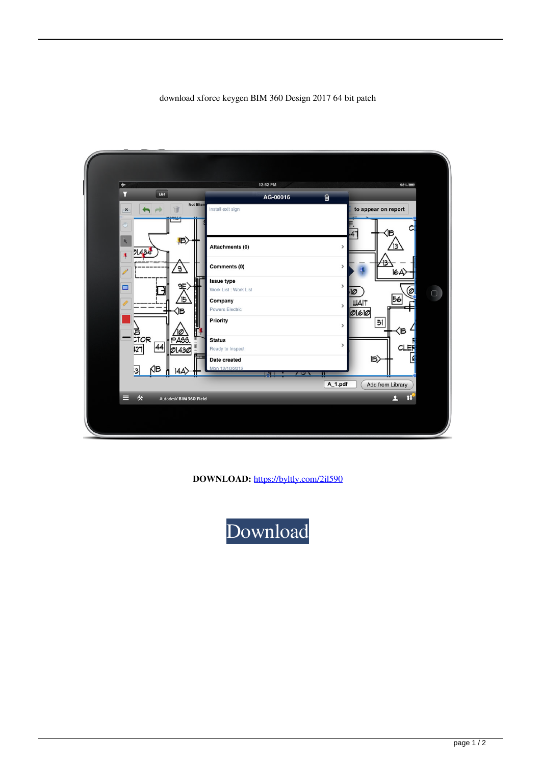## download xforce keygen BIM 360 Design 2017 64 bit patch

| $\overline{\ast}$                                                         | 12:52 PM                                                              | 98%                                                                          |
|---------------------------------------------------------------------------|-----------------------------------------------------------------------|------------------------------------------------------------------------------|
| $\overline{\mathbf{Y}}$<br>List                                           | 自<br>AG-00016                                                         |                                                                              |
| Not filter<br>道<br>$\boldsymbol{\mathsf{x}}$<br>$\binom{m}{2}$<br>(B<br>R | Install exit sign                                                     | to appear on report<br>(B                                                    |
| 21.434<br>₹.<br><u>g)</u><br>$\mathscr{I}$                                | Attachments (0)<br>Comments (0)<br>Issue type                         | $\,$<br><u> 13</u><br>۲З<br>$\mathcal{P}$<br>$ 6A\rangle$                    |
| 9È,<br>$\square$<br>$\sqrt{5}$<br>(Б                                      | Work List: Work List<br>Company<br><b>Powers Electric</b><br>Priority | $\,$<br>ø<br>10<br>$\Box$<br>56<br><b>WAIT</b><br>$\mathbf{r}$<br>0160<br>51 |
| <br>江のR<br>46<br>44<br>$\overline{127}$<br>01.430                         | <b>Status</b><br>Ready to Inspect<br>Date created                     | $\mathcal{P}$<br>Œ<br>$\mathcal{P}$<br>CLE<br>$ B\rangle$                    |
| КВ<br>3<br>14A)                                                           | Mon 12/10/2012<br>ישר<br>52                                           |                                                                              |
|                                                                           |                                                                       | A_1.pdf<br><b>Add from Library</b>                                           |
| 伙<br>▤<br>Autodesk BIM 360 Field                                          |                                                                       | 1U<br>л                                                                      |
|                                                                           |                                                                       |                                                                              |

**DOWNLOAD:** <https://byltly.com/2il590>